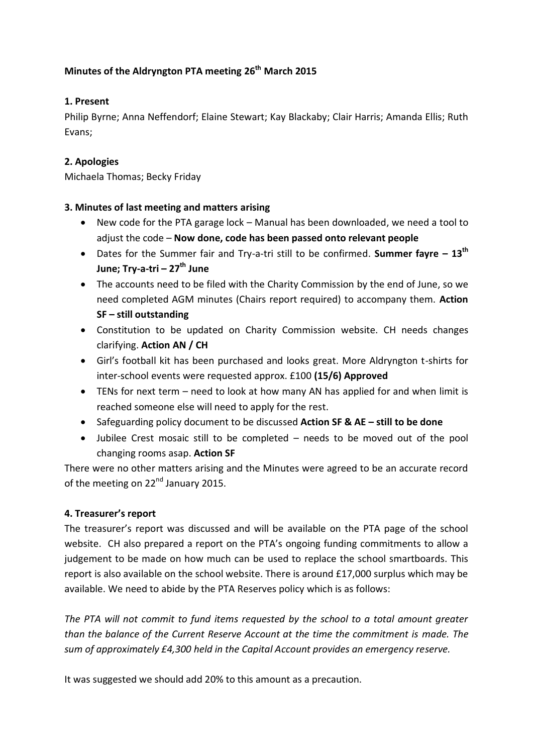# **Minutes of the Aldryngton PTA meeting 26th March 2015**

## **1. Present**

Philip Byrne; Anna Neffendorf; Elaine Stewart; Kay Blackaby; Clair Harris; Amanda Ellis; Ruth Evans;

## **2. Apologies**

Michaela Thomas; Becky Friday

### **3. Minutes of last meeting and matters arising**

- New code for the PTA garage lock Manual has been downloaded, we need a tool to adjust the code – **Now done, code has been passed onto relevant people**
- Dates for the Summer fair and Try-a-tri still to be confirmed. **Summer fayre – 13th June; Try-a-tri – 27th June**
- The accounts need to be filed with the Charity Commission by the end of June, so we need completed AGM minutes (Chairs report required) to accompany them. **Action SF – still outstanding**
- Constitution to be updated on Charity Commission website. CH needs changes clarifying. **Action AN / CH**
- Girl's football kit has been purchased and looks great. More Aldryngton t-shirts for inter-school events were requested approx. £100 **(15/6) Approved**
- TENs for next term need to look at how many AN has applied for and when limit is reached someone else will need to apply for the rest.
- Safeguarding policy document to be discussed **Action SF & AE – still to be done**
- Jubilee Crest mosaic still to be completed needs to be moved out of the pool changing rooms asap. **Action SF**

There were no other matters arising and the Minutes were agreed to be an accurate record of the meeting on 22<sup>nd</sup> January 2015.

### **4. Treasurer's report**

The treasurer's report was discussed and will be available on the PTA page of the school website. CH also prepared a report on the PTA's ongoing funding commitments to allow a judgement to be made on how much can be used to replace the school smartboards. This report is also available on the school website. There is around £17,000 surplus which may be available. We need to abide by the PTA Reserves policy which is as follows:

*The PTA will not commit to fund items requested by the school to a total amount greater than the balance of the Current Reserve Account at the time the commitment is made. The sum of approximately £4,300 held in the Capital Account provides an emergency reserve.*

It was suggested we should add 20% to this amount as a precaution.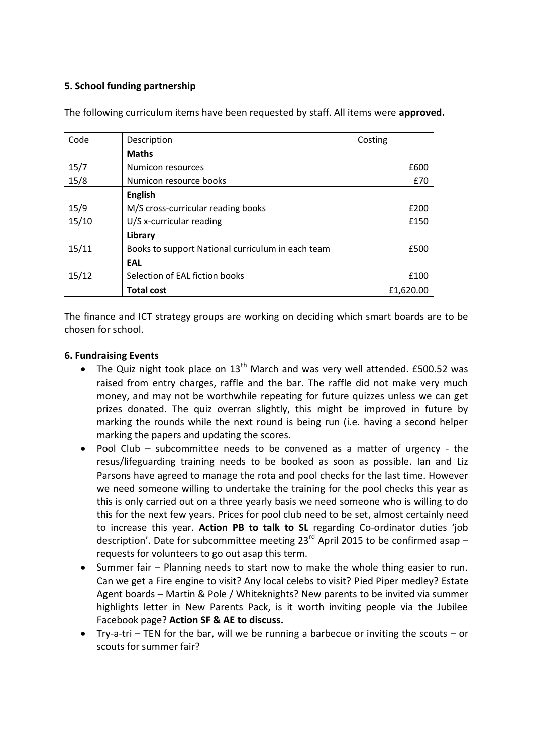### **5. School funding partnership**

| Code  | Description                                       | Costing   |
|-------|---------------------------------------------------|-----------|
|       | <b>Maths</b>                                      |           |
| 15/7  | Numicon resources                                 | £600      |
| 15/8  | Numicon resource books                            | £70       |
|       | <b>English</b>                                    |           |
| 15/9  | M/S cross-curricular reading books                | £200      |
| 15/10 | U/S x-curricular reading                          | £150      |
|       | Library                                           |           |
| 15/11 | Books to support National curriculum in each team | £500      |
|       | EAL                                               |           |
| 15/12 | Selection of EAL fiction books                    | £100      |
|       | <b>Total cost</b>                                 | £1,620.00 |

The following curriculum items have been requested by staff. All items were **approved.**

The finance and ICT strategy groups are working on deciding which smart boards are to be chosen for school.

#### **6. Fundraising Events**

- The Quiz night took place on  $13<sup>th</sup>$  March and was very well attended. £500.52 was raised from entry charges, raffle and the bar. The raffle did not make very much money, and may not be worthwhile repeating for future quizzes unless we can get prizes donated. The quiz overran slightly, this might be improved in future by marking the rounds while the next round is being run (i.e. having a second helper marking the papers and updating the scores.
- Pool Club subcommittee needs to be convened as a matter of urgency the resus/lifeguarding training needs to be booked as soon as possible. Ian and Liz Parsons have agreed to manage the rota and pool checks for the last time. However we need someone willing to undertake the training for the pool checks this year as this is only carried out on a three yearly basis we need someone who is willing to do this for the next few years. Prices for pool club need to be set, almost certainly need to increase this year. **Action PB to talk to SL** regarding Co-ordinator duties 'job description'. Date for subcommittee meeting  $23^{rd}$  April 2015 to be confirmed asap – requests for volunteers to go out asap this term.
- Summer fair Planning needs to start now to make the whole thing easier to run. Can we get a Fire engine to visit? Any local celebs to visit? Pied Piper medley? Estate Agent boards – Martin & Pole / Whiteknights? New parents to be invited via summer highlights letter in New Parents Pack, is it worth inviting people via the Jubilee Facebook page? **Action SF & AE to discuss.**
- Try-a-tri TEN for the bar, will we be running a barbecue or inviting the scouts or scouts for summer fair?